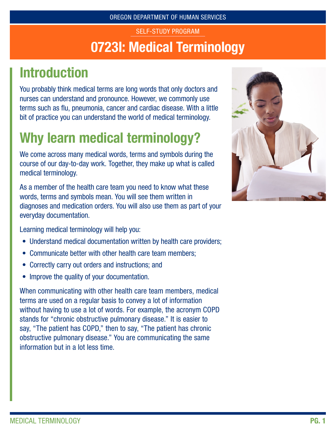### 0723I: Medical Terminology SELF-STUDY PROGRAM

# Introduction

You probably think medical terms are long words that only doctors and nurses can understand and pronounce. However, we commonly use terms such as flu, pneumonia, cancer and cardiac disease. With a little bit of practice you can understand the world of medical terminology.

# Why learn medical terminology?

We come across many medical words, terms and symbols during the course of our day-to-day work. Together, they make up what is called medical terminology.

As a member of the health care team you need to know what these words, terms and symbols mean. You will see them written in diagnoses and medication orders. You will also use them as part of your everyday documentation.

Learning medical terminology will help you:

- Understand medical documentation written by health care providers;
- Communicate better with other health care team members;
- Correctly carry out orders and instructions; and
- Improve the quality of your documentation.

When communicating with other health care team members, medical terms are used on a regular basis to convey a lot of information without having to use a lot of words. For example, the acronym COPD stands for "chronic obstructive pulmonary disease." It is easier to say, "The patient has COPD," then to say, "The patient has chronic obstructive pulmonary disease." You are communicating the same information but in a lot less time.

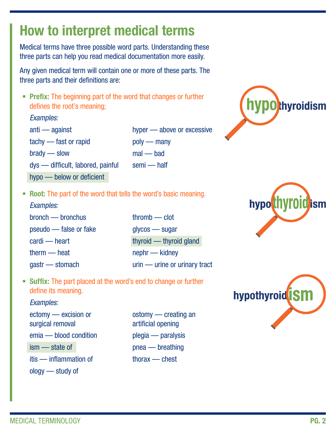# How to interpret medical terms

Medical terms have three possible word parts. Understanding these three parts can help you read medical documentation more easily.

Any given medical term will contain one or more of these parts. The three parts and their definitions are:

• Prefix: The beginning part of the word that changes or further defines the root's meaning;

#### *Examples:*

anti — against tachy — fast or rapid brady — slow dys — difficult, labored, painful hyper — above or excessive

poly — many

mal — bad

- 
- hypo below or deficient
- semi half



• Root: The part of the word that tells the word's basic meaning.

#### *Examples:*

bronch — bronchus pseudo — false or fake cardi — heart therm — heat gastr — stomach

thromb — clot glycos — sugar thyroid — thyroid gland nephr — kidney urin — urine or urinary tract

• Suffix: The part placed at the word's end to change or further define its meaning.

#### *Examples:*

ectomy — excision or surgical removal emia — blood condition ism — state of itis — inflammation of ology — study of

ostomy — creating an artificial opening plegia — paralysis pnea — breathing thorax — chest



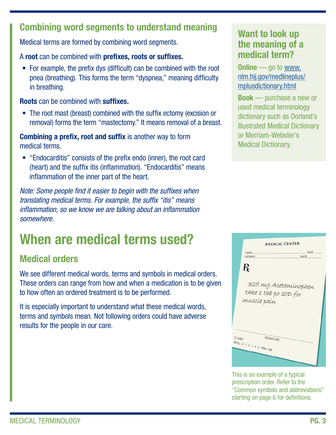#### Combining word segments to understand meaning

Medical terms are formed by combining word segments.

A root can be combined with prefixes, roots or suffixes.

• For example, the prefix dys (difficult) can be combined with the root pnea (breathing). This forms the term "dyspnea," meaning difficulty in breathing.

Roots can be combined with suffixes.

• The root mast (breast) combined with the suffix ectomy (excision or removal) forms the term "mastectomy." It means removal of a breast.

Combining a prefix, root and suffix is another way to form medical terms.

• "Endocarditis" consists of the prefix endo (inner), the root card (heart) and the suffix itis (inflammation). "Endocarditis" means inflammation of the inner part of the heart.

*Note: Some people find it easier to begin with the suffixes when translating medical terms. For example, the suffix "itis" means inflammation, so we know we are talking about an inflammation somewhere.*

# When are medical terms used?

### Medical orders

We see different medical words, terms and symbols in medical orders. These orders can range from how and when a medication is to be given to how often an ordered treatment is to be performed.

It is especially important to understand what these medical words, terms and symbols mean. Not following orders could have adverse results for the people in our care.

#### Want to look up the meaning of a medical term?

**Online** — go to [www.](http://www.nlm.hij.gov/medlineplus/mplusdictionary.html) [nlm.hij.gov/medlineplus/](http://www.nlm.hij.gov/medlineplus/mplusdictionary.html) [mplusdictionary.html](http://www.nlm.hij.gov/medlineplus/mplusdictionary.html)

Book — purchase a new or used medical terminology dictionary such as Dorland's Illustrated Medical Dictionary or Merriam-Webster's Medical Dictionary.

|                  |                           | <b>MEDICAL CENTER</b> |
|------------------|---------------------------|-----------------------|
| NAME.            |                           | AGE                   |
| <b>ADDRESS</b>   |                           | DATE                  |
|                  |                           |                       |
| $\boldsymbol{R}$ |                           |                       |
|                  |                           |                       |
|                  |                           |                       |
|                  |                           | 325 mg Acetaminophen  |
|                  | take 1 tab po QID for     |                       |
|                  | muscle pain               |                       |
|                  |                           |                       |
|                  |                           |                       |
|                  |                           |                       |
|                  |                           |                       |
|                  |                           |                       |
| <b>DLABEL</b>    | SIGNATURE                 |                       |
|                  | REFILL 0 1 2 3 4 5 PRN NR |                       |
|                  |                           |                       |
|                  |                           |                       |

This is an example of a typical prescription order. Refer to the "Common symbols and abbreviations" starting on page 6 for definitions.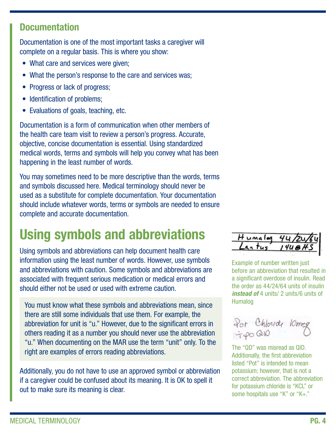#### **Documentation**

Documentation is one of the most important tasks a caregiver will complete on a regular basis. This is where you show:

- What care and services were given;
- What the person's response to the care and services was;
- Progress or lack of progress;
- Identification of problems;
- Evaluations of goals, teaching, etc.

Documentation is a form of communication when other members of the health care team visit to review a person's progress. Accurate, objective, concise documentation is essential. Using standardized medical words, terms and symbols will help you convey what has been happening in the least number of words.

You may sometimes need to be more descriptive than the words, terms and symbols discussed here. Medical terminology should never be used as a substitute for complete documentation. Your documentation should include whatever words, terms or symbols are needed to ensure complete and accurate documentation.

# Using symbols and abbreviations

Using symbols and abbreviations can help document health care information using the least number of words. However, use symbols and abbreviations with caution. Some symbols and abbreviations are associated with frequent serious medication or medical errors and should either not be used or used with extreme caution.

You must know what these symbols and abbreviations mean, since there are still some individuals that use them. For example, the abbreviation for unit is "u." However, due to the significant errors in others reading it as a number you should never use the abbreviation "u." When documenting on the MAR use the term "unit" only. To the right are examples of errors reading abbreviations.

Additionally, you do not have to use an approved symbol or abbreviation if a caregiver could be confused about its meaning. It is OK to spell it out to make sure its meaning is clear.



Example of number written just before an abbreviation that resulted in a significant overdose of insulin. Read the order as 44/24/64 units of insulin *instead of* 4 units/ 2 units/6 units of Humalog

Pot Chloride 10mg<br>700010

The "QD" was misread as QID. Additionally, the first abbreviation listed "Pot" is intended to mean potassium; however, that is not a correct abbreviation. The abbreviation for potassium chloride is "KCL" or some hospitals use "K" or "K+."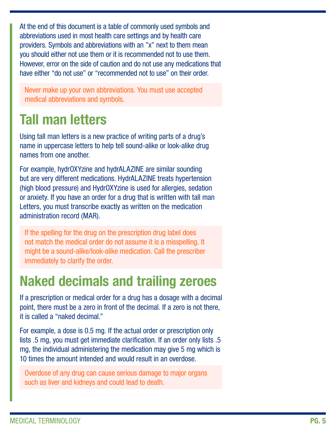At the end of this document is a table of commonly used symbols and abbreviations used in most health care settings and by health care providers. Symbols and abbreviations with an "x" next to them mean you should either not use them or it is recommended not to use them. However, error on the side of caution and do not use any medications that have either "do not use" or "recommended not to use" on their order.

Never make up your own abbreviations. You must use accepted medical abbreviations and symbols.

# Tall man letters

Using tall man letters is a new practice of writing parts of a drug's name in uppercase letters to help tell sound-alike or look-alike drug names from one another.

For example, hydrOXYzine and hydrALAZINE are similar sounding but are very different medications. HydrALAZINE treats hypertension (high blood pressure) and HydrOXYzine is used for allergies, sedation or anxiety. If you have an order for a drug that is written with tall man Letters, you must transcribe exactly as written on the medication administration record (MAR).

If the spelling for the drug on the prescription drug label does not match the medical order do not assume it is a misspelling. It might be a sound-alike/look-alike medication. Call the prescriber immediately to clarify the order.

## Naked decimals and trailing zeroes

If a prescription or medical order for a drug has a dosage with a decimal point, there must be a zero in front of the decimal. If a zero is not there, it is called a "naked decimal."

For example, a dose is 0.5 mg. If the actual order or prescription only lists .5 mg, you must get immediate clarification. If an order only lists .5 mg, the individual administering the medication may give 5 mg which is 10 times the amount intended and would result in an overdose.

Overdose of any drug can cause serious damage to major organs such as liver and kidneys and could lead to death.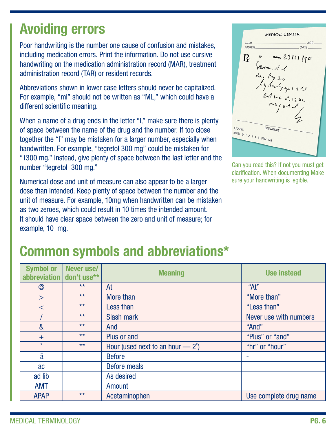## Avoiding errors

Poor handwriting is the number one cause of confusion and mistakes, including medication errors. Print the information. Do not use cursive handwriting on the medication administration record (MAR), treatment administration record (TAR) or resident records.

Abbreviations shown in lower case letters should never be capitalized. For example, "ml" should not be written as "ML," which could have a different scientific meaning.

When a name of a drug ends in the letter "l," make sure there is plenty of space between the name of the drug and the number. If too close together the "l" may be mistaken for a larger number, especially when handwritten. For example, "tegretol 300 mg" could be mistaken for "1300 mg." Instead, give plenty of space between the last letter and the number "tegretol 300 mg."

Numerical dose and unit of measure can also appear to be a larger dose than intended. Keep plenty of space between the number and the unit of measure. For example, 10mg when handwritten can be mistaken as two zeroes, which could result in 10 times the intended amount. It should have clear space between the zero and unit of measure; for example, 10 mg.

|                           | <b>MEDICAL CENTER</b> |
|---------------------------|-----------------------|
| NAME.<br><b>ADDRESS</b>   | AGE<br><b>DATE</b>    |
| R                         | Detroit 23111 150     |
|                           | Sem. 11               |
|                           | de. No 20             |
|                           | by buby you 212       |
|                           | lit nc s. 12 m        |
|                           | $n\nu$ $n1 l$         |
|                           |                       |
| <b>QLABEL</b>             | SIGNATURE             |
| REFILL 0 1 2 3 4 5 PRN NR |                       |
|                           |                       |
|                           |                       |

Can you read this? If not you must get clarification. When documenting Make sure your handwriting is legible.

## Common symbols and abbreviations\*

| abbreviation don't use** | Symbol or   Never use/ | <b>Meaning</b>                            | <b>Use instead</b>     |
|--------------------------|------------------------|-------------------------------------------|------------------------|
| @                        | $***$                  | At                                        | "At"                   |
| $\geq$                   | $***$                  | More than                                 | "More than"            |
| $\,<$                    | $***$                  | Less than                                 | "Less than"            |
|                          | $***$                  | <b>Slash mark</b>                         | Never use with numbers |
| &                        | $***$                  | And                                       | "And"                  |
| $+$                      | $***$                  | Plus or and                               | "Plus" or "and"        |
| $\circ$                  | $***$                  | Hour (used next to an hour $-2^{\circ}$ ) | "hr" or "hour"         |
| ā                        |                        | <b>Before</b>                             | ۰                      |
| ac                       |                        | <b>Before meals</b>                       |                        |
| ad lib                   |                        | As desired                                |                        |
| <b>AMT</b>               |                        | Amount                                    |                        |
| <b>APAP</b>              | $***$                  | Acetaminophen                             | Use complete drug name |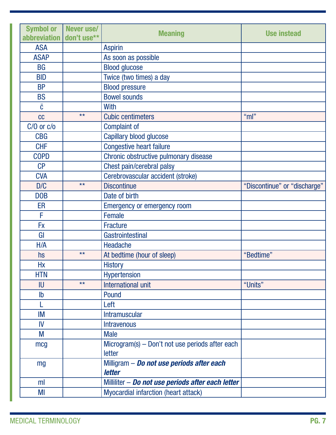| <b>Symbol or</b><br>abbreviation | Never use/<br>don't use** | <b>Meaning</b>                                    | <b>Use instead</b>           |
|----------------------------------|---------------------------|---------------------------------------------------|------------------------------|
| <b>ASA</b>                       |                           | <b>Aspirin</b>                                    |                              |
| <b>ASAP</b>                      |                           | As soon as possible                               |                              |
| <b>BG</b>                        |                           | <b>Blood glucose</b>                              |                              |
| <b>BID</b>                       |                           | Twice (two times) a day                           |                              |
| <b>BP</b>                        |                           | <b>Blood pressure</b>                             |                              |
| <b>BS</b>                        |                           | <b>Bowel sounds</b>                               |                              |
| $\bar{c}$                        |                           | With                                              |                              |
| cc                               | $**$                      | <b>Cubic centimeters</b>                          | " $ml"$                      |
| $C/O$ or $C/O$                   |                           | <b>Complaint of</b>                               |                              |
| <b>CBG</b>                       |                           | Capillary blood glucose                           |                              |
| <b>CHF</b>                       |                           | <b>Congestive heart failure</b>                   |                              |
| <b>COPD</b>                      |                           | Chronic obstructive pulmonary disease             |                              |
| CP                               |                           | Chest pain/cerebral palsy                         |                              |
| <b>CVA</b>                       |                           | Cerebrovascular accident (stroke)                 |                              |
| D/C                              | $**$                      | <b>Discontinue</b>                                | "Discontinue" or "discharge" |
| <b>DOB</b>                       |                           | Date of birth                                     |                              |
| ER                               |                           | <b>Emergency or emergency room</b>                |                              |
| F                                |                           | <b>Female</b>                                     |                              |
| <b>Fx</b>                        |                           | <b>Fracture</b>                                   |                              |
| GI                               |                           | Gastrointestinal                                  |                              |
| H/A                              |                           | Headache                                          |                              |
| hs                               | $**$                      | At bedtime (hour of sleep)                        | "Bedtime"                    |
| Hx                               |                           | <b>History</b>                                    |                              |
| <b>HTN</b>                       |                           | Hypertension                                      |                              |
| IU                               | $**$                      | International unit                                | "Units"                      |
| $\mathsf{lb}$                    |                           | Pound                                             |                              |
|                                  |                           | Left                                              |                              |
| IM                               |                           | <b>Intramuscular</b>                              |                              |
| IV                               |                           | <b>Intravenous</b>                                |                              |
| M                                |                           | <b>Male</b>                                       |                              |
| mcg                              |                           | Microgram(s) – Don't not use periods after each   |                              |
|                                  |                           | letter                                            |                              |
| mg                               |                           | Milligram - Do not use periods after each         |                              |
|                                  |                           | letter                                            |                              |
| ml                               |                           | Milliliter - Do not use periods after each letter |                              |
| MI                               |                           | Myocardial infarction (heart attack)              |                              |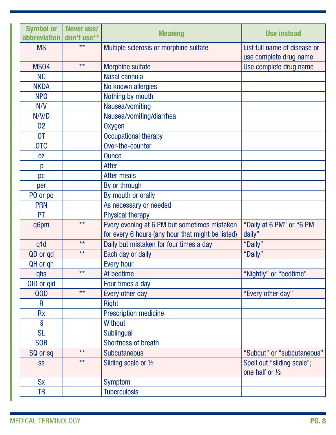| <b>Symbol or</b><br>abbreviation   don't use** | Never use/ | <b>Meaning</b>                                    | <b>Use instead</b>                                     |
|------------------------------------------------|------------|---------------------------------------------------|--------------------------------------------------------|
| <b>MS</b>                                      | $**$       | Multiple sclerosis or morphine sulfate            | List full name of disease or<br>use complete drug name |
| <b>MS04</b>                                    | $***$      | <b>Morphine sulfate</b>                           | Use complete drug name                                 |
| <b>NC</b>                                      |            | Nasal cannula                                     |                                                        |
| <b>NKDA</b>                                    |            | No known allergies                                |                                                        |
| NP <sub>0</sub>                                |            | Nothing by mouth                                  |                                                        |
| N/V                                            |            | Nausea/vomiting                                   |                                                        |
| N/V/D                                          |            | Nausea/vomiting/diarrhea                          |                                                        |
| 02                                             |            | Oxygen                                            |                                                        |
| <b>OT</b>                                      |            | <b>Occupational therapy</b>                       |                                                        |
| <b>OTC</b>                                     |            | Over-the-counter                                  |                                                        |
| OZ                                             |            | <b>Ounce</b>                                      |                                                        |
| $\bar{p}$                                      |            | <b>After</b>                                      |                                                        |
| pc                                             |            | After meals                                       |                                                        |
| per                                            |            | By or through                                     |                                                        |
| PO or po                                       |            | By mouth or orally                                |                                                        |
| <b>PRN</b>                                     |            | As necessary or needed                            |                                                        |
| <b>PT</b>                                      |            | <b>Physical therapy</b>                           |                                                        |
| q6pm                                           | $***$      | Every evening at 6 PM but sometimes mistaken      | "Daily at 6 PM" or "6 PM                               |
|                                                |            | for every 6 hours (any hour that might be listed) | daily"                                                 |
| q1d                                            | $***$      | Daily but mistaken for four times a day           | "Daily"                                                |
| QD or gd                                       | $***$      | Each day or daily                                 | "Daily"                                                |
| QH or qh                                       |            | <b>Every hour</b>                                 |                                                        |
| qhs                                            | $***$      | At bedtime                                        | "Nightly" or "bedtime"                                 |
| QID or gid                                     |            | Four times a day                                  |                                                        |
| QOD                                            | $***$      | Every other day                                   | "Every other day"                                      |
| R                                              |            | <b>Right</b>                                      |                                                        |
| <b>Rx</b>                                      |            | <b>Prescription medicine</b>                      |                                                        |
| $\bar{s}$                                      |            | <b>Without</b>                                    |                                                        |
| <b>SL</b>                                      |            | <b>Sublingual</b>                                 |                                                        |
| <b>SOB</b>                                     |            | Shortness of breath                               |                                                        |
| SQ or sq                                       | $***$      | <b>Subcutaneous</b>                               | "Subcut" or "subcutaneous"                             |
| <b>SS</b>                                      | $***$      | Sliding scale or $\frac{1}{2}$                    | Spell out "sliding scale";<br>one half or 1/2          |
| <b>Sx</b>                                      |            | <b>Symptom</b>                                    |                                                        |
| TB                                             |            | <b>Tuberculosis</b>                               |                                                        |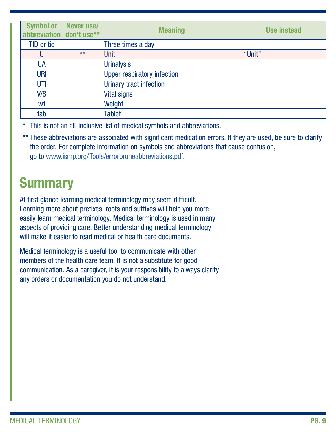| abbreviation don't use** | Symbol or   Never use/ | <b>Meaning</b>                     | <b>Use instead</b> |
|--------------------------|------------------------|------------------------------------|--------------------|
| TID or tid               |                        | Three times a day                  |                    |
|                          | $***$                  | Unit                               | "Unit"             |
| UA                       |                        | <b>Urinalysis</b>                  |                    |
| <b>URI</b>               |                        | <b>Upper respiratory infection</b> |                    |
| UTI                      |                        | Urinary tract infection            |                    |
| V/S                      |                        | <b>Vital signs</b>                 |                    |
| wt                       |                        | Weight                             |                    |
| tab                      |                        | <b>Tablet</b>                      |                    |

This is not an all-inclusive list of medical symbols and abbreviations.

\*\* These abbreviations are associated with significant medication errors. If they are used, be sure to clarify the order. For complete information on symbols and abbreviations that cause confusion, go to [www.ismp.org/Tools/errorproneabbreviations.pdf](http://www.ismp.org/Tools/errorproneabbreviations.pdf).

# **Summary**

At first glance learning medical terminology may seem difficult. Learning more about prefixes, roots and suffixes will help you more easily learn medical terminology. Medical terminology is used in many aspects of providing care. Better understanding medical terminology will make it easier to read medical or health care documents.

Medical terminology is a useful tool to communicate with other members of the health care team. It is not a substitute for good communication. As a caregiver, it is your responsibility to always clarify any orders or documentation you do not understand.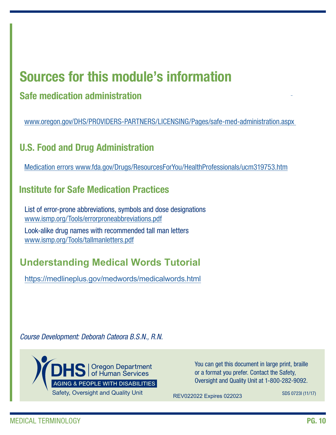### Sources for this module's information

### Safe medication administration

www.oregon.gov/DHS/PROVIDERS-PARTNERS/LICENSING/Pages/safe-med-administration.aspx

### U.S. Food and Drug Administration

[Medication errors www.fda.gov/Drugs/ResourcesForYou/HealthProfessionals/ucm319753.htm](http://www.oregon.gov/DHS/PROVIDERS-PARTNERS/LICENSING/Pages/safe-med-administration.aspx)

#### I[nstitute for Safe Medication Practices](http://Medication errors www.fda.gov/Drugs/ResourcesForYou/HealthProfessionals/ucm319753.htm)

List of error-prone abbreviations, symbols and dose designations [www.ismp.org/Tools/errorproneabbreviations.pdf](http://www.ismp.org/Tools/errorproneabbreviations.pdf) Look-alike drug names with recommended tall man letters www.ismp.org/Tools/tallmanletters.pdf

### **Understanding Medical Words Tutorial**

https://medlineplus.gov/medwords/medicalwords.html

*Course Development: Deborah Cateora B.S.N., R.N.*



You can get this document in large print, braille or a format you prefer. Contact the Safety, Oversight and Quality Unit at 1-800-282-9092.

REV022022 Expires 022023